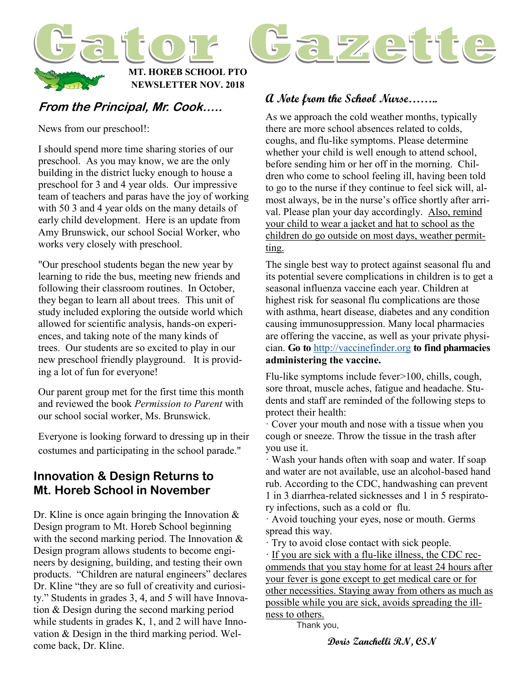

#### **From the Principal, Mr. Cook…..**

News from our preschool!:

I should spend more time sharing stories of our preschool. As you may know, we are the only building in the district lucky enough to house a preschool for 3 and 4 year olds. Our impressive team of teachers and paras have the joy of working with 50 3 and 4 year olds on the many details of early child development. Here is an update from Amy Brunswick, our school Social Worker, who works very closely with preschool.

"Our preschool students began the new year by learning to ride the bus, meeting new friends and following their classroom routines. In October, they began to learn all about trees. This unit of study included exploring the outside world which allowed for scientific analysis, hands-on experiences, and taking note of the many kinds of trees. Our students are so excited to play in our new preschool friendly playground. It is providing a lot of fun for everyone!

Our parent group met for the first time this month and reviewed the book *Permission to Parent* with our school social worker, Ms. Brunswick.

Everyone is looking forward to dressing up in their costumes and participating in the school parade."

#### **Innovation & Design Returns to Mt. Horeb School in November**

Dr. Kline is once again bringing the Innovation  $\&$ Design program to Mt. Horeb School beginning with the second marking period. The Innovation  $\&$ Design program allows students to become engineers by designing, building, and testing their own products. "Children are natural engineers" declares Dr. Kline "they are so full of creativity and curiosity." Students in grades 3, 4, and 5 will have Innovation & Design during the second marking period while students in grades K, 1, and 2 will have Innovation & Design in the third marking period. Welcome back, Dr. Kline.

#### **A Note from the School Nurse……..**

As we approach the cold weather months, typically there are more school absences related to colds, coughs, and flu-like symptoms. Please determine whether your child is well enough to attend school, before sending him or her off in the morning. Children who come to school feeling ill, having been told to go to the nurse if they continue to feel sick will, almost always, be in the nurse's office shortly after arrival. Please plan your day accordingly. Also, remind your child to wear a jacket and hat to school as the children do go outside on most days, weather permitting.

The single best way to protect against seasonal flu and its potential severe complications in children is to get a seasonal influenza vaccine each year. Children at highest risk for seasonal flu complications are those with asthma, heart disease, diabetes and any condition causing immunosuppression. Many local pharmacies are offering the vaccine, as well as your private physician. **Go to** <http://vaccinefinder.org> **to find pharmacies administering the vaccine.**

Flu-like symptoms include fever>100, chills, cough, sore throat, muscle aches, fatigue and headache. Students and staff are reminded of the following steps to protect their health:

· Cover your mouth and nose with a tissue when you cough or sneeze. Throw the tissue in the trash after you use it.

· Wash your hands often with soap and water. If soap and water are not available, use an alcohol-based hand rub. According to the CDC, handwashing can prevent 1 in 3 diarrhea-related sicknesses and 1 in 5 respiratory infections, such as a cold or flu.

· Avoid touching your eyes, nose or mouth. Germs spread this way.

· Try to avoid close contact with sick people.

· If you are sick with a flu-like illness, the CDC recommends that you stay home for at least 24 hours after your fever is gone except to get medical care or for other necessities. Staying away from others as much as possible while you are sick, avoids spreading the illness to others.

Thank you,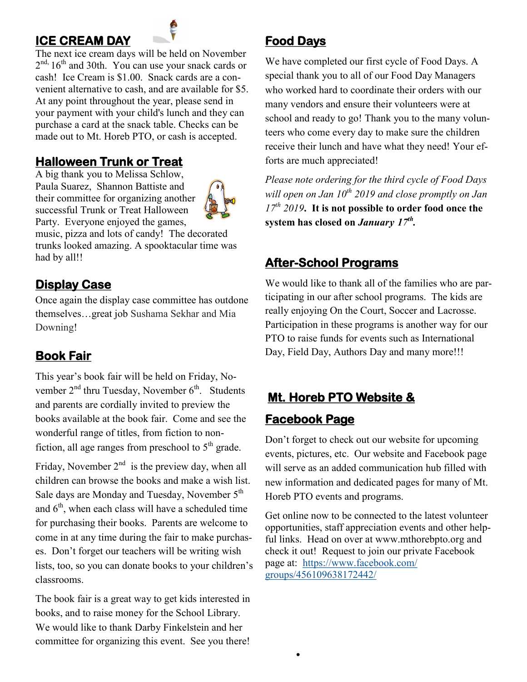## **ICE CREAM DAY**



The next ice cream days will be held on November 2<sup>nd, 16th</sup> and 30th. You can use your snack cards or cash! Ice Cream is \$1.00. Snack cards are a convenient alternative to cash, and are available for \$5. At any point throughout the year, please send in your payment with your child's lunch and they can purchase a card at the snack table. Checks can be made out to Mt. Horeb PTO, or cash is accepted.

### **Halloween Trunk or Treat**

A big thank you to Melissa Schlow, Paula Suarez, Shannon Battiste and their committee for organizing another successful Trunk or Treat Halloween Party. Everyone enjoyed the games,



music, pizza and lots of candy! The decorated trunks looked amazing. A spooktacular time was had by all!!

## **Display Case**

Once again the display case committee has outdone themselves…great job Sushama Sekhar and Mia Downing!

## **Book Fair**

This year's book fair will be held on Friday, November  $2<sup>nd</sup>$  thru Tuesday, November  $6<sup>th</sup>$ . Students and parents are cordially invited to preview the books available at the book fair. Come and see the wonderful range of titles, from fiction to nonfiction, all age ranges from preschool to  $5<sup>th</sup>$  grade.

Friday, November  $2<sup>nd</sup>$  is the preview day, when all children can browse the books and make a wish list. Sale days are Monday and Tuesday, November 5<sup>th</sup> and  $6<sup>th</sup>$ , when each class will have a scheduled time for purchasing their books. Parents are welcome to come in at any time during the fair to make purchases. Don't forget our teachers will be writing wish lists, too, so you can donate books to your children's classrooms.

The book fair is a great way to get kids interested in books, and to raise money for the School Library. We would like to thank Darby Finkelstein and her committee for organizing this event. See you there!

## **Food Days**

We have completed our first cycle of Food Days. A special thank you to all of our Food Day Managers who worked hard to coordinate their orders with our many vendors and ensure their volunteers were at school and ready to go! Thank you to the many volunteers who come every day to make sure the children receive their lunch and have what they need! Your efforts are much appreciated!

*Please note ordering for the third cycle of Food Days will open on Jan 10th 2019 and close promptly on Jan 17th 2019***. It is not possible to order food once the system has closed on** *January 17th .*

## **After-School Programs**

We would like to thank all of the families who are participating in our after school programs. The kids are really enjoying On the Court, Soccer and Lacrosse. Participation in these programs is another way for our PTO to raise funds for events such as International Day, Field Day, Authors Day and many more!!!

# **Mt. Horeb PTO Website &**

#### **Facebook Page**

 $\bullet$ 

Don't forget to check out our website for upcoming events, pictures, etc. Our website and Facebook page will serve as an added communication hub filled with new information and dedicated pages for many of Mt. Horeb PTO events and programs.

Get online now to be connected to the latest volunteer opportunities, staff appreciation events and other helpful links. [Head on over](https://mthorebpto.org/) at www.mthorebpto.org and check it out! Request to join our private Facebook page at: [https://www.facebook.com/](https://www.facebook.com/groups/456109638172442/) [groups/456109638172442/](https://www.facebook.com/groups/456109638172442/)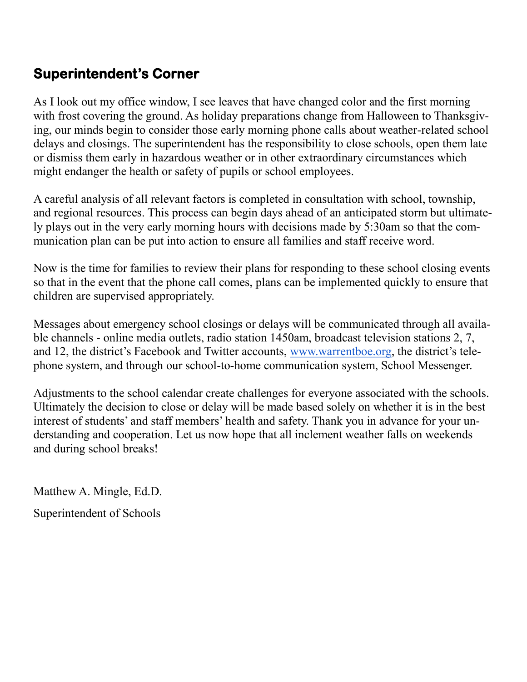# **Superintendent's Corner**

As I look out my office window, I see leaves that have changed color and the first morning with frost covering the ground. As holiday preparations change from Halloween to Thanksgiving, our minds begin to consider those early morning phone calls about weather-related school delays and closings. The superintendent has the responsibility to close schools, open them late or dismiss them early in hazardous weather or in other extraordinary circumstances which might endanger the health or safety of pupils or school employees.

A careful analysis of all relevant factors is completed in consultation with school, township, and regional resources. This process can begin days ahead of an anticipated storm but ultimately plays out in the very early morning hours with decisions made by 5:30am so that the communication plan can be put into action to ensure all families and staff receive word.

Now is the time for families to review their plans for responding to these school closing events so that in the event that the phone call comes, plans can be implemented quickly to ensure that children are supervised appropriately.

Messages about emergency school closings or delays will be communicated through all available channels - online media outlets, radio station 1450am, broadcast television stations 2, 7, and 12, the district's Facebook and Twitter accounts, [www.warrentboe.org,](http://www.warrentboe.org) the district's telephone system, and through our school-to-home communication system, School Messenger.

Adjustments to the school calendar create challenges for everyone associated with the schools. Ultimately the decision to close or delay will be made based solely on whether it is in the best interest of students' and staff members' health and safety. Thank you in advance for your understanding and cooperation. Let us now hope that all inclement weather falls on weekends and during school breaks!

Matthew A. Mingle, Ed.D.

Superintendent of Schools